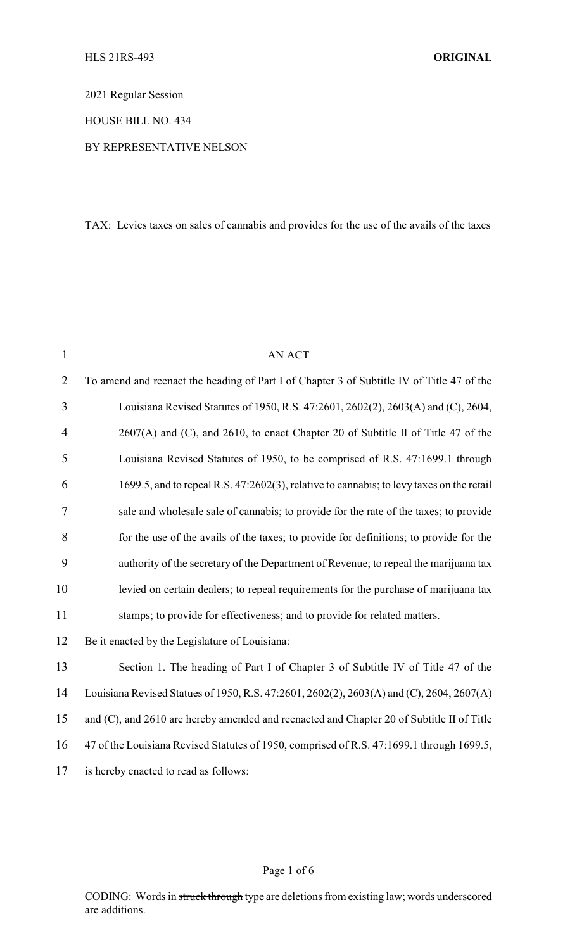2021 Regular Session

HOUSE BILL NO. 434

### BY REPRESENTATIVE NELSON

TAX: Levies taxes on sales of cannabis and provides for the use of the avails of the taxes

| $\mathbf{1}$   | <b>AN ACT</b>                                                                             |
|----------------|-------------------------------------------------------------------------------------------|
| $\overline{2}$ | To amend and reenact the heading of Part I of Chapter 3 of Subtitle IV of Title 47 of the |
| 3              | Louisiana Revised Statutes of 1950, R.S. 47:2601, 2602(2), 2603(A) and (C), 2604,         |
| 4              | 2607(A) and (C), and 2610, to enact Chapter 20 of Subtitle II of Title 47 of the          |
| 5              | Louisiana Revised Statutes of 1950, to be comprised of R.S. 47:1699.1 through             |
| 6              | 1699.5, and to repeal R.S. 47:2602(3), relative to cannabis; to levy taxes on the retail  |
| 7              | sale and wholesale sale of cannabis; to provide for the rate of the taxes; to provide     |
| 8              | for the use of the avails of the taxes; to provide for definitions; to provide for the    |
| 9              | authority of the secretary of the Department of Revenue; to repeal the marijuana tax      |
| 10             | levied on certain dealers; to repeal requirements for the purchase of marijuana tax       |
| 11             | stamps; to provide for effectiveness; and to provide for related matters.                 |
| 12             | Be it enacted by the Legislature of Louisiana:                                            |
| 13             | Section 1. The heading of Part I of Chapter 3 of Subtitle IV of Title 47 of the           |
| 14             | Louisiana Revised Statues of 1950, R.S. 47:2601, 2602(2), 2603(A) and (C), 2604, 2607(A)  |
| 15             | and (C), and 2610 are hereby amended and reenacted and Chapter 20 of Subtitle II of Title |
| 16             | 47 of the Louisiana Revised Statutes of 1950, comprised of R.S. 47:1699.1 through 1699.5, |
| 17             | is hereby enacted to read as follows:                                                     |
|                |                                                                                           |

#### Page 1 of 6

CODING: Words in struck through type are deletions from existing law; words underscored are additions.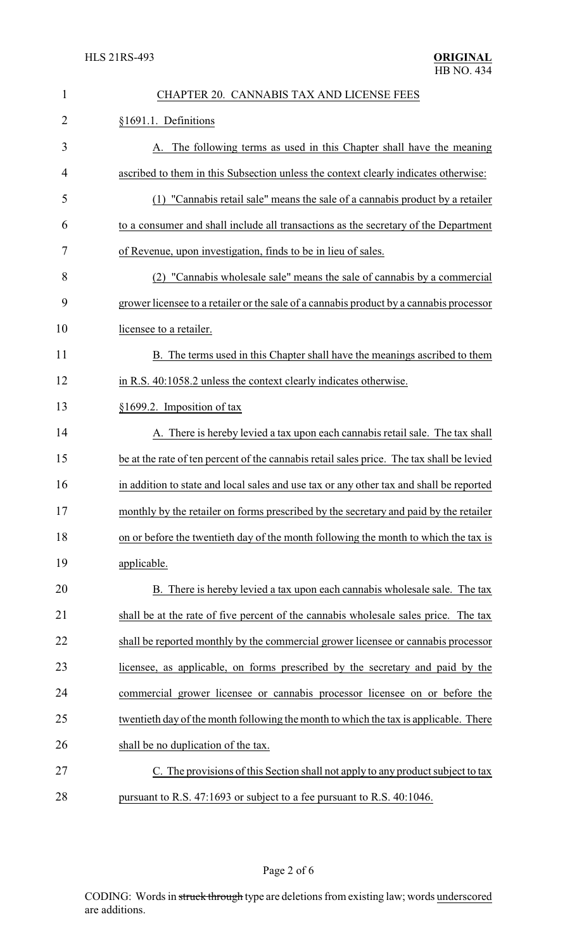| $\mathbf{1}$ | CHAPTER 20. CANNABIS TAX AND LICENSE FEES                                                 |
|--------------|-------------------------------------------------------------------------------------------|
| 2            | §1691.1. Definitions                                                                      |
| 3            | A. The following terms as used in this Chapter shall have the meaning                     |
| 4            | ascribed to them in this Subsection unless the context clearly indicates otherwise:       |
| 5            | (1) "Cannabis retail sale" means the sale of a cannabis product by a retailer             |
| 6            | to a consumer and shall include all transactions as the secretary of the Department       |
| 7            | of Revenue, upon investigation, finds to be in lieu of sales.                             |
| 8            | (2) "Cannabis wholesale sale" means the sale of cannabis by a commercial                  |
| 9            | grower licensee to a retailer or the sale of a cannabis product by a cannabis processor   |
| 10           | licensee to a retailer.                                                                   |
| 11           | B. The terms used in this Chapter shall have the meanings ascribed to them                |
| 12           | in R.S. 40:1058.2 unless the context clearly indicates otherwise.                         |
| 13           | §1699.2. Imposition of tax                                                                |
| 14           | A. There is hereby levied a tax upon each cannabis retail sale. The tax shall             |
| 15           | be at the rate of ten percent of the cannabis retail sales price. The tax shall be levied |
| 16           | in addition to state and local sales and use tax or any other tax and shall be reported   |
| 17           | monthly by the retailer on forms prescribed by the secretary and paid by the retailer     |
| 18           | on or before the twentieth day of the month following the month to which the tax is       |
| 19           | applicable.                                                                               |
| 20           | B. There is hereby levied a tax upon each cannabis wholesale sale. The tax                |
| 21           | shall be at the rate of five percent of the cannabis wholesale sales price. The tax       |
| 22           | shall be reported monthly by the commercial grower licensee or cannabis processor         |
| 23           | licensee, as applicable, on forms prescribed by the secretary and paid by the             |
| 24           | commercial grower licensee or cannabis processor licensee on or before the                |
| 25           | twentieth day of the month following the month to which the tax is applicable. There      |
| 26           | shall be no duplication of the tax.                                                       |
| 27           | C. The provisions of this Section shall not apply to any product subject to tax           |
| 28           | pursuant to R.S. 47:1693 or subject to a fee pursuant to R.S. 40:1046.                    |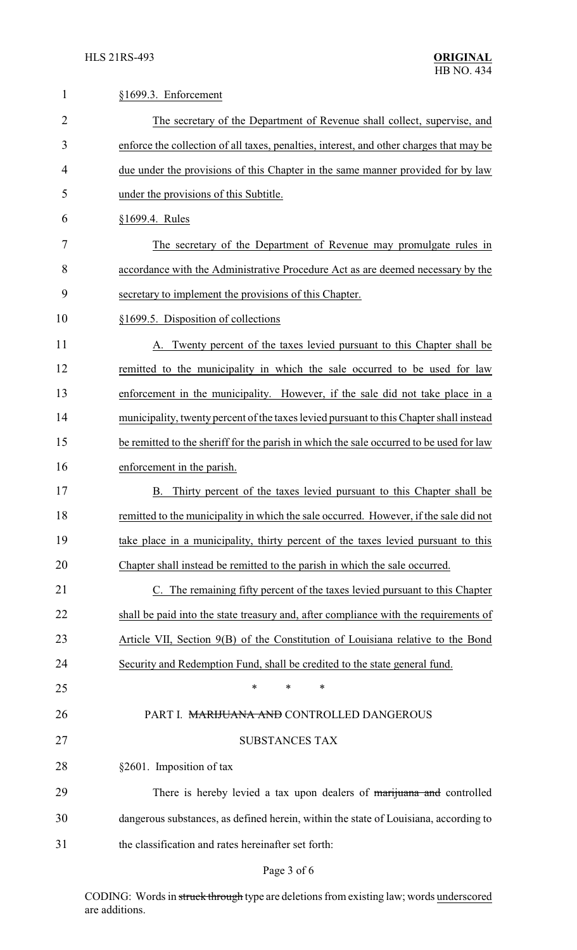| 1              | §1699.3. Enforcement                                                                    |  |  |
|----------------|-----------------------------------------------------------------------------------------|--|--|
| $\overline{2}$ | The secretary of the Department of Revenue shall collect, supervise, and                |  |  |
| 3              | enforce the collection of all taxes, penalties, interest, and other charges that may be |  |  |
| 4              | due under the provisions of this Chapter in the same manner provided for by law         |  |  |
| 5              | under the provisions of this Subtitle.                                                  |  |  |
| 6              | §1699.4. Rules                                                                          |  |  |
| 7              | The secretary of the Department of Revenue may promulgate rules in                      |  |  |
| 8              | accordance with the Administrative Procedure Act as are deemed necessary by the         |  |  |
| 9              | secretary to implement the provisions of this Chapter.                                  |  |  |
| 10             | §1699.5. Disposition of collections                                                     |  |  |
| 11             | A. Twenty percent of the taxes levied pursuant to this Chapter shall be                 |  |  |
| 12             | remitted to the municipality in which the sale occurred to be used for law              |  |  |
| 13             | enforcement in the municipality. However, if the sale did not take place in a           |  |  |
| 14             | municipality, twenty percent of the taxes levied pursuant to this Chapter shall instead |  |  |
| 15             | be remitted to the sheriff for the parish in which the sale occurred to be used for law |  |  |
| 16             | enforcement in the parish.                                                              |  |  |
| 17             | Thirty percent of the taxes levied pursuant to this Chapter shall be<br>В.              |  |  |
| 18             | remitted to the municipality in which the sale occurred. However, if the sale did not   |  |  |
| 19             | take place in a municipality, thirty percent of the taxes levied pursuant to this       |  |  |
| 20             | Chapter shall instead be remitted to the parish in which the sale occurred.             |  |  |
| 21             | C. The remaining fifty percent of the taxes levied pursuant to this Chapter             |  |  |
| 22             | shall be paid into the state treasury and, after compliance with the requirements of    |  |  |
| 23             | Article VII, Section 9(B) of the Constitution of Louisiana relative to the Bond         |  |  |
| 24             | Security and Redemption Fund, shall be credited to the state general fund.              |  |  |
| 25             | *<br>$\ast$<br>*                                                                        |  |  |
| 26             | PART I. MARIJUANA AND CONTROLLED DANGEROUS                                              |  |  |
| 27             | <b>SUBSTANCES TAX</b>                                                                   |  |  |
| 28             | §2601. Imposition of tax                                                                |  |  |
| 29             | There is hereby levied a tax upon dealers of marijuana and controlled                   |  |  |
| 30             | dangerous substances, as defined herein, within the state of Louisiana, according to    |  |  |
| 31             | the classification and rates hereinafter set forth:                                     |  |  |
|                |                                                                                         |  |  |

# Page 3 of 6

CODING: Words in struck through type are deletions from existing law; words underscored are additions.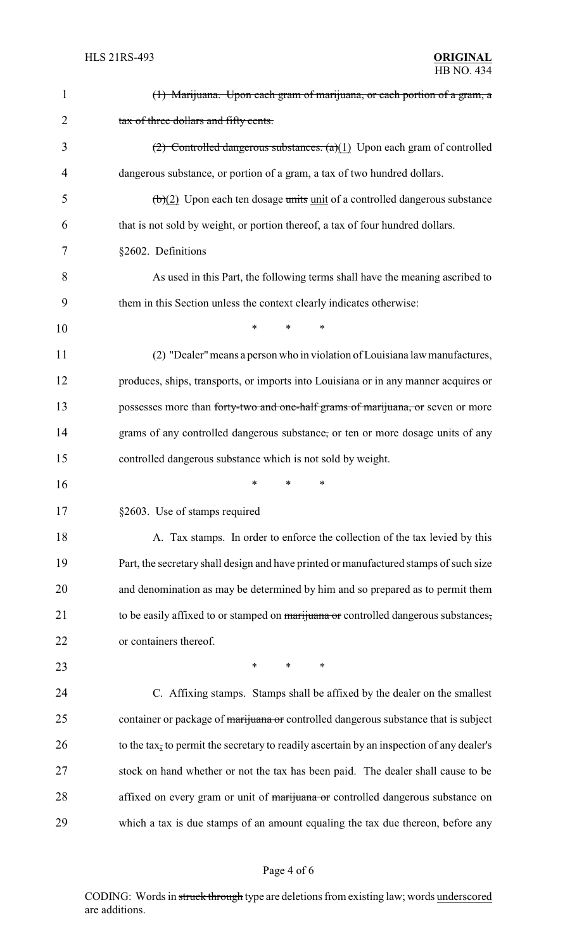| $\mathbf{1}$   | (1) Marijuana. Upon each gram of marijuana, or each portion of a gram, a                       |
|----------------|------------------------------------------------------------------------------------------------|
| $\overline{2}$ | tax of three dollars and fifty cents.                                                          |
| 3              | $(2)$ Controlled dangerous substances. $(a)(1)$ Upon each gram of controlled                   |
| 4              | dangerous substance, or portion of a gram, a tax of two hundred dollars.                       |
| 5              | $\left(\frac{b}{c}\right)$ Upon each ten dosage units unit of a controlled dangerous substance |
| 6              | that is not sold by weight, or portion thereof, a tax of four hundred dollars.                 |
| 7              | §2602. Definitions                                                                             |
| 8              | As used in this Part, the following terms shall have the meaning ascribed to                   |
| 9              | them in this Section unless the context clearly indicates otherwise:                           |
| 10             | *<br>*<br>∗                                                                                    |
| 11             | (2) "Dealer" means a person who in violation of Louisiana law manufactures,                    |
| 12             | produces, ships, transports, or imports into Louisiana or in any manner acquires or            |
| 13             | possesses more than forty-two and one-half grams of marijuana, or seven or more                |
| 14             | grams of any controlled dangerous substance, or ten or more dosage units of any                |
| 15             | controlled dangerous substance which is not sold by weight.                                    |
| 16             | *<br>∗<br>*                                                                                    |
| 17             | §2603. Use of stamps required                                                                  |
| 18             | A. Tax stamps. In order to enforce the collection of the tax levied by this                    |
| 19             | Part, the secretary shall design and have printed or manufactured stamps of such size          |
| 20             | and denomination as may be determined by him and so prepared as to permit them                 |
| 21             | to be easily affixed to or stamped on marijuana or controlled dangerous substances,            |
| 22             | or containers thereof.                                                                         |
| 23             | $\ast$<br>$\ast$<br>∗                                                                          |
| 24             | C. Affixing stamps. Stamps shall be affixed by the dealer on the smallest                      |
| 25             | container or package of marijuana or controlled dangerous substance that is subject            |
| 26             | to the tax, to permit the secretary to readily ascertain by an inspection of any dealer's      |
| 27             | stock on hand whether or not the tax has been paid. The dealer shall cause to be               |
| 28             | affixed on every gram or unit of marijuana or controlled dangerous substance on                |
| 29             | which a tax is due stamps of an amount equaling the tax due thereon, before any                |
|                |                                                                                                |

# Page 4 of 6

CODING: Words in struck through type are deletions from existing law; words underscored are additions.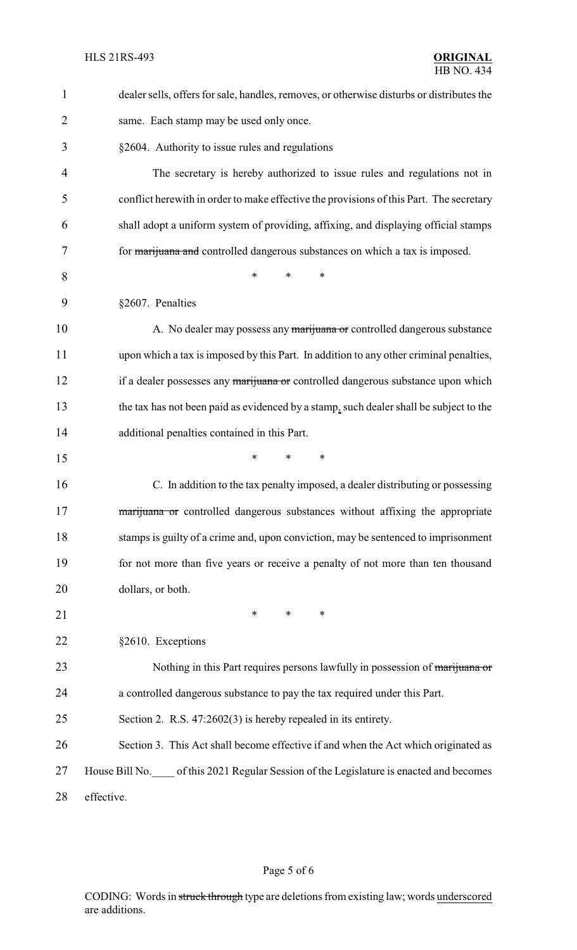| $\mathbf{1}$   | dealer sells, offers for sale, handles, removes, or otherwise disturbs or distributes the |  |  |
|----------------|-------------------------------------------------------------------------------------------|--|--|
| $\overline{2}$ | same. Each stamp may be used only once.                                                   |  |  |
| 3              | §2604. Authority to issue rules and regulations                                           |  |  |
| 4              | The secretary is hereby authorized to issue rules and regulations not in                  |  |  |
| 5              | conflict here with in order to make effective the provisions of this Part. The secretary  |  |  |
| 6              | shall adopt a uniform system of providing, affixing, and displaying official stamps       |  |  |
| 7              | for <i>marijuana</i> and controlled dangerous substances on which a tax is imposed.       |  |  |
| 8              | $\ast$<br>∗<br>*                                                                          |  |  |
| 9              | §2607. Penalties                                                                          |  |  |
| 10             | A. No dealer may possess any marijuana or controlled dangerous substance                  |  |  |
| 11             | upon which a tax is imposed by this Part. In addition to any other criminal penalties,    |  |  |
| 12             | if a dealer possesses any marijuana or controlled dangerous substance upon which          |  |  |
| 13             | the tax has not been paid as evidenced by a stamp, such dealer shall be subject to the    |  |  |
| 14             | additional penalties contained in this Part.                                              |  |  |
| 15             | $\ast$<br>$\ast$<br>*                                                                     |  |  |
| 16             | C. In addition to the tax penalty imposed, a dealer distributing or possessing            |  |  |
| 17             | marijuana or controlled dangerous substances without affixing the appropriate             |  |  |
| 18             | stamps is guilty of a crime and, upon conviction, may be sentenced to imprisonment        |  |  |
| 19             | for not more than five years or receive a penalty of not more than ten thousand           |  |  |
| 20             | dollars, or both.                                                                         |  |  |
| 21             | $\ast$<br>$\ast$<br>$\ast$                                                                |  |  |
| 22             | §2610. Exceptions                                                                         |  |  |
| 23             | Nothing in this Part requires persons lawfully in possession of marijuana or              |  |  |
| 24             | a controlled dangerous substance to pay the tax required under this Part.                 |  |  |
| 25             | Section 2. R.S. $47:2602(3)$ is hereby repealed in its entirety.                          |  |  |
| 26             | Section 3. This Act shall become effective if and when the Act which originated as        |  |  |
| 27             | House Bill No. of this 2021 Regular Session of the Legislature is enacted and becomes     |  |  |
| 28             | effective.                                                                                |  |  |